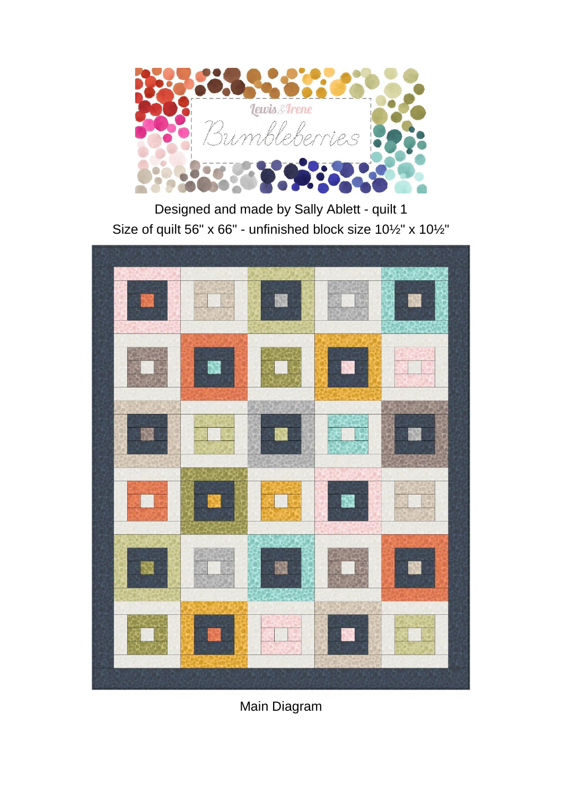

Designed and made by Sally Ablett - quilt 1 Size of quilt 56" x 66" - unfinished block size 10½" x 10½"



Main Diagram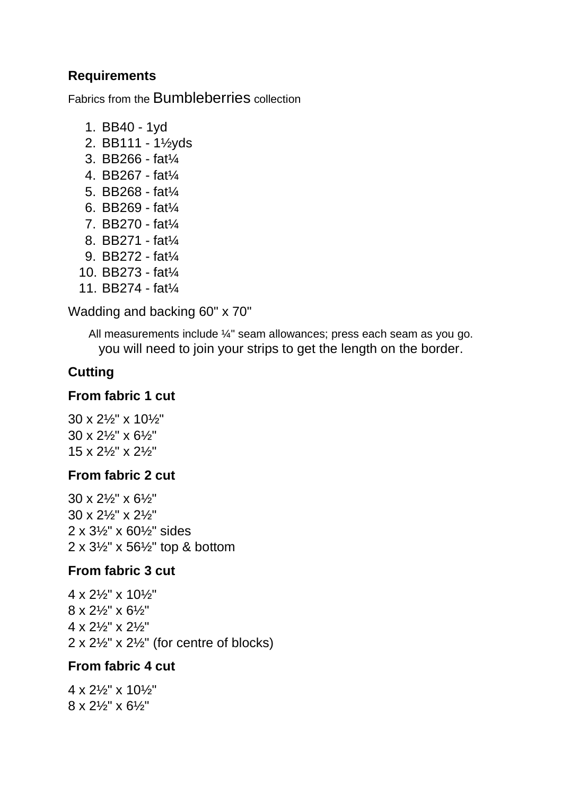## **Requirements**

Fabrics from the Bumbleberries collection

- 1. BB40 1yd
- 2. BB111 1½yds
- 3. BB266 fat¼
- 4. BB267 fat¼
- 5. BB268 fat¼
- 6. BB269 fat¼
- 7. BB270 fat¼
- 8. BB271 fat¼
- 9. BB272 fat¼
- 10. BB273 fat¼
- 11. BB274 fat¼

Wadding and backing 60" x 70"

All measurements include ¼" seam allowances; press each seam as you go. you will need to join your strips to get the length on the border.

# **Cutting**

### **From fabric 1 cut**

30 x 2½" x 10½" 30 x 2½" x 6½" 15 x 2½" x 2½"

### **From fabric 2 cut**

 x 2½" x 6½" x 2½" x 2½" x 3½" x 60½" sides x 3½" x 56½" top & bottom

### **From fabric 3 cut**

 x 2½" x 10½" x 2½" x 6½" x 2½" x 2½"  $2 \times 2\frac{1}{2}$ "  $\times 2\frac{1}{2}$ " (for centre of blocks)

### **From fabric 4 cut**

4 x 2½" x 10½" 8 x 2½" x 6½"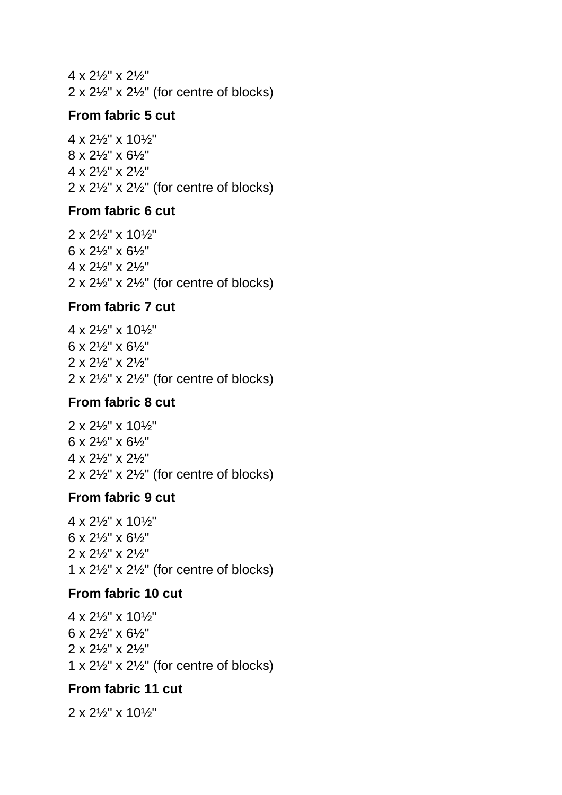4 x 2½" x 2½"  $2 \times 2\frac{1}{2}$ " x  $2\frac{1}{2}$ " (for centre of blocks)

### **From fabric 5 cut**

 x 2½" x 10½" x 2½" x 6½" x 2½" x 2½"  $2 \times 2\frac{1}{2}$ "  $\times 2\frac{1}{2}$ " (for centre of blocks)

#### **From fabric 6 cut**

 x 2½" x 10½" x 2½" x 6½" x 2½" x 2½"  $2 \times 2\frac{1}{2}$ "  $\times 2\frac{1}{2}$ " (for centre of blocks)

## **From fabric 7 cut**

 x 2½" x 10½" x 2½" x 6½" x 2½" x 2½"  $2 \times 2\frac{1}{2}$ " x  $2\frac{1}{2}$ " (for centre of blocks)

### **From fabric 8 cut**

 x 2½" x 10½" x 2½" x 6½" x 2½" x 2½"  $2 \times 2\frac{1}{2}$ " x  $2\frac{1}{2}$ " (for centre of blocks)

### **From fabric 9 cut**

 x 2½" x 10½" x 2½" x 6½" x 2½" x 2½"  $1 \times 2\frac{1}{2}$ " x  $2\frac{1}{2}$ " (for centre of blocks)

### **From fabric 10 cut**

 x 2½" x 10½" x 2½" x 6½" x 2½" x 2½"  $1 \times 2\frac{1}{2}$ " x  $2\frac{1}{2}$ " (for centre of blocks)

## **From fabric 11 cut**

2 x 2½" x 10½"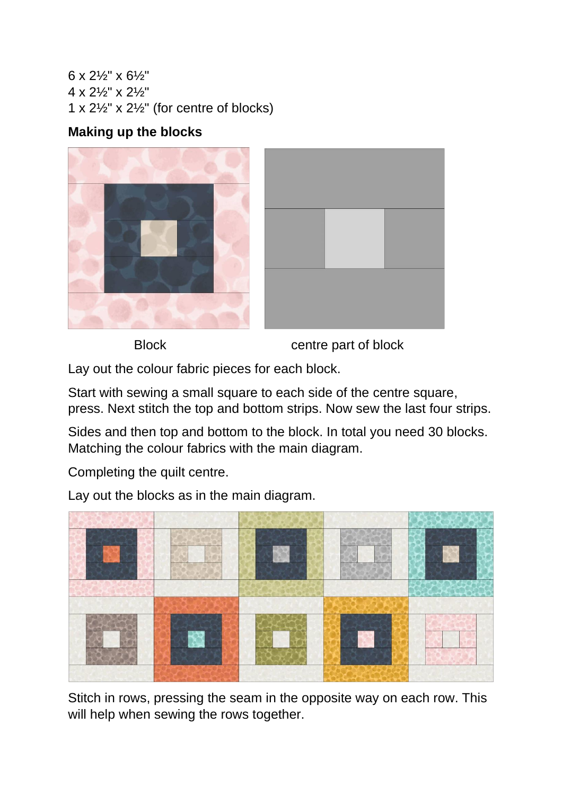6 x 2½" x 6½" 4 x 2½" x 2½" 1 x  $2\frac{1}{2}$ " x  $2\frac{1}{2}$ " (for centre of blocks)

## **Making up the blocks**



Block centre part of block

Lay out the colour fabric pieces for each block.

Start with sewing a small square to each side of the centre square, press. Next stitch the top and bottom strips. Now sew the last four strips.

Sides and then top and bottom to the block. In total you need 30 blocks. Matching the colour fabrics with the main diagram.

Completing the quilt centre.

Lay out the blocks as in the main diagram.



Stitch in rows, pressing the seam in the opposite way on each row. This will help when sewing the rows together.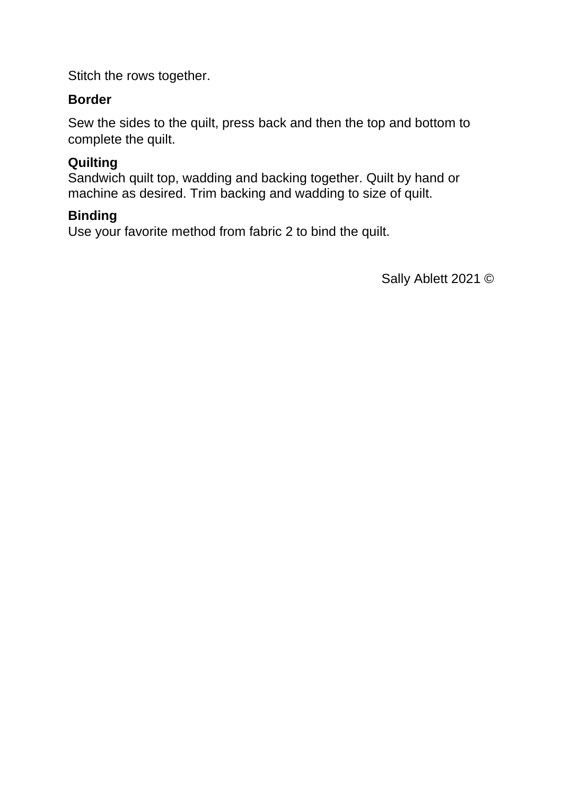Stitch the rows together.

## **Border**

Sew the sides to the quilt, press back and then the top and bottom to complete the quilt.

## **Quilting**

Sandwich quilt top, wadding and backing together. Quilt by hand or machine as desired. Trim backing and wadding to size of quilt.

### **Binding**

Use your favorite method from fabric 2 to bind the quilt.

Sally Ablett 2021 ©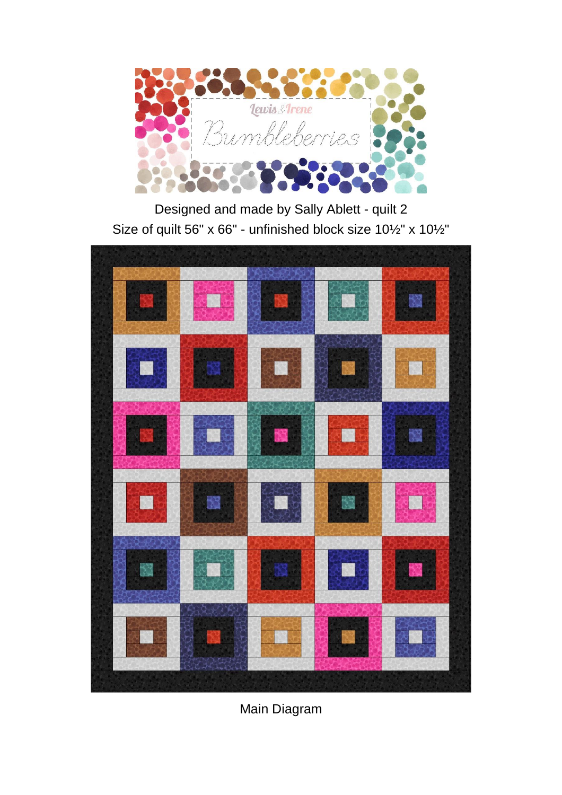

Designed and made by Sally Ablett - quilt 2 Size of quilt 56" x 66" - unfinished block size 10½" x 10½"



Main Diagram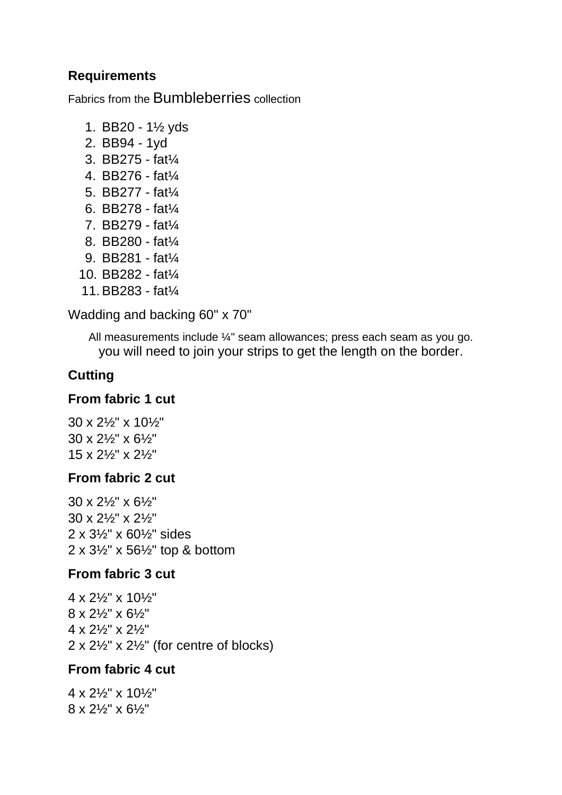### **Requirements**

Fabrics from the Bumbleberries collection

- 1. BB20 1½ yds
- 2. BB94 1yd
- 3. BB275 fat¼
- 4. BB276 fat¼
- 5. BB277 fat¼
- 6. BB278 fat¼
- 7. BB279 fat¼
- 8. BB280 fat¼
- 9. BB281 fat¼
- 10. BB282 fat¼
- 11.BB283 fat¼

Wadding and backing 60" x 70"

All measurements include ¼" seam allowances; press each seam as you go. you will need to join your strips to get the length on the border.

# **Cutting**

### **From fabric 1 cut**

30 x 2½" x 10½" 30 x 2½" x 6½" 15 x 2½" x 2½"

### **From fabric 2 cut**

 x 2½" x 6½" x 2½" x 2½" x 3½" x 60½" sides x 3½" x 56½" top & bottom

### **From fabric 3 cut**

 x 2½" x 10½" x 2½" x 6½" x 2½" x 2½"  $2 \times 2\frac{1}{2}$ "  $\times 2\frac{1}{2}$ " (for centre of blocks)

### **From fabric 4 cut**

4 x 2½" x 10½" 8 x 2½" x 6½"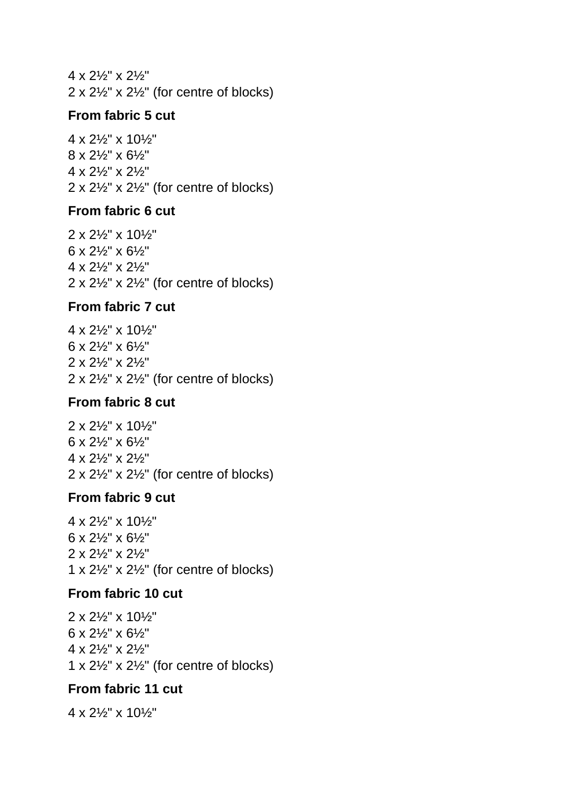4 x 2½" x 2½"  $2 \times 2\frac{1}{2}$ " x  $2\frac{1}{2}$ " (for centre of blocks)

### **From fabric 5 cut**

 x 2½" x 10½" x 2½" x 6½" x 2½" x 2½"  $2 \times 2\frac{1}{2}$ "  $\times 2\frac{1}{2}$ " (for centre of blocks)

#### **From fabric 6 cut**

 x 2½" x 10½" x 2½" x 6½" x 2½" x 2½"  $2 \times 2\frac{1}{2}$ "  $\times 2\frac{1}{2}$ " (for centre of blocks)

## **From fabric 7 cut**

 x 2½" x 10½" x 2½" x 6½" x 2½" x 2½"  $2 \times 2\frac{1}{2}$ " x  $2\frac{1}{2}$ " (for centre of blocks)

### **From fabric 8 cut**

 x 2½" x 10½" x 2½" x 6½" x 2½" x 2½"  $2 \times 2\frac{1}{2}$ " x  $2\frac{1}{2}$ " (for centre of blocks)

### **From fabric 9 cut**

 x 2½" x 10½" x 2½" x 6½" x 2½" x 2½"  $1 \times 2\frac{1}{2}$ " x  $2\frac{1}{2}$ " (for centre of blocks)

### **From fabric 10 cut**

 x 2½" x 10½" x 2½" x 6½" x 2½" x 2½"  $1 \times 2\frac{1}{2}$ " x  $2\frac{1}{2}$ " (for centre of blocks)

## **From fabric 11 cut**

4 x 2½" x 10½"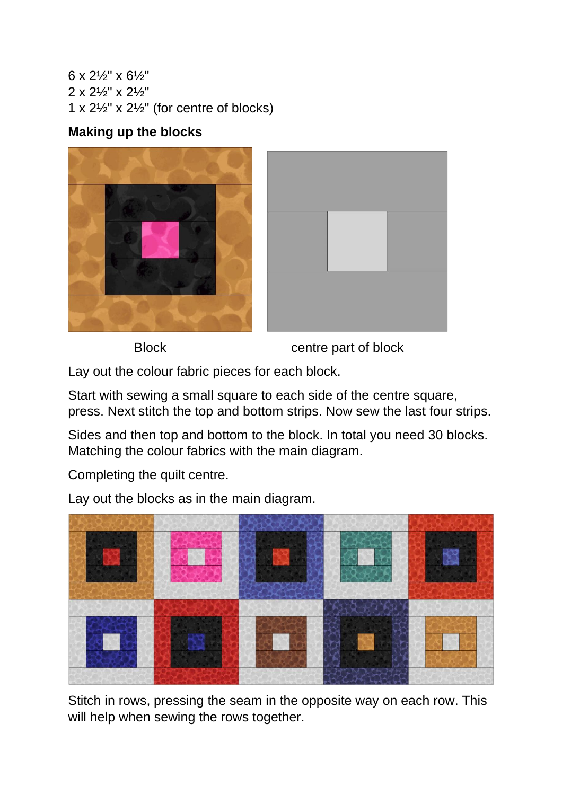6 x 2½" x 6½" 2 x 2½" x 2½" 1 x  $2\frac{1}{2}$ " x  $2\frac{1}{2}$ " (for centre of blocks)

## **Making up the blocks**





Block centre part of block

Lay out the colour fabric pieces for each block.

Start with sewing a small square to each side of the centre square, press. Next stitch the top and bottom strips. Now sew the last four strips.

Sides and then top and bottom to the block. In total you need 30 blocks. Matching the colour fabrics with the main diagram.

Completing the quilt centre.

Lay out the blocks as in the main diagram.



Stitch in rows, pressing the seam in the opposite way on each row. This will help when sewing the rows together.